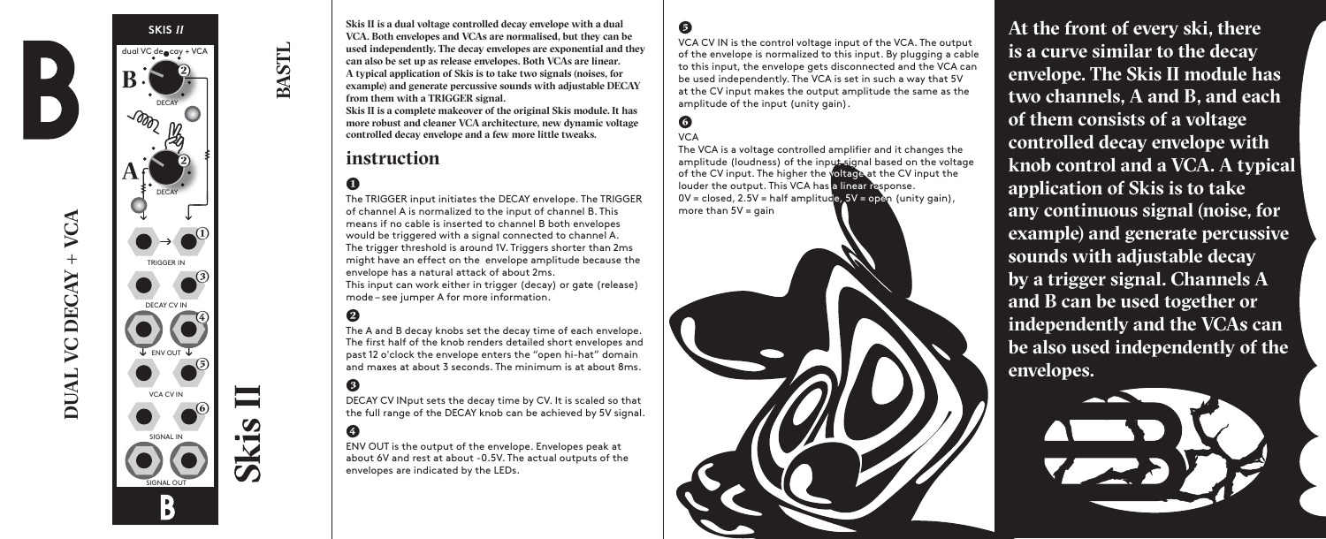

VCA **DUAL VC DECAY + VCA**  $+$ VC DECAY **DUAL** 



**Skis II is a dual voltage controlled decay envelope with a dual VCA. Both envelopes and VCAs are normalised, but they can be used independently. The decay envelopes are exponential and they can also be set up as release envelopes. Both VCAs are linear. A typical application of Skis is to take two signals (noises, for example) and generate percussive sounds with adjustable DECAY from them with a TRIGGER signal.** 

**Skis II is a complete makeover of the original Skis module. It has more robust and cleaner VCA architecture, new dynamic voltage controlled decay envelope and a few more little tweaks.**

## **instruction**

# **(1)**

**BASTL**

The TRIGGER input initiates the DECAY envelope. The TRIGGER of channel A is normalized to the input of channel B. This means if no cable is inserted to channel B both envelopes would be triggered with a signal connected to channel A. The trigger threshold is around 1V. Triggers shorter than 2ms might have an effect on the envelope amplitude because the envelope has a natural attack of about 2ms.

This input can work either in trigger (decay) or gate (release) mode – see jumper A for more information.

## **(2)**

The A and B decay knobs set the decay time of each envelope. The first half of the knob renders detailed short envelopes and past 12 o'clock the envelope enters the "open hi-hat" domain and maxes at about 3 seconds. The minimum is at about 8ms.

#### **(3)**

DECAY CV INput sets the decay time by CV. It is scaled so that the full range of the DECAY knob can be achieved by 5V signal.

## **(4)**

ENV OUT is the output of the envelope. Envelopes peak at about 6V and rest at about -0.5V. The actual outputs of the envelopes are indicated by the LEDs.

#### **(5)**

VCA CV IN is the control voltage input of the VCA. The output of the envelope is normalized to this input. By plugging a cable to this input, the envelope gets disconnected and the VCA can be used independently. The VCA is set in such a way that 5V at the CV input makes the output amplitude the same as the amplitude of the input (unity gain).

#### **(6)** VCA

The VCA is a voltage controlled amplifier and it changes the amplitude (loudness) of the input signal based on the voltage of the CV input. The higher the voltage at the CV input the louder the output. This VCA has a linear response.  $0V = closed$ ,  $2.5V = half amplitude$ ,  $5V = open$  (unity gain), more than  $5V = \alpha$ ain